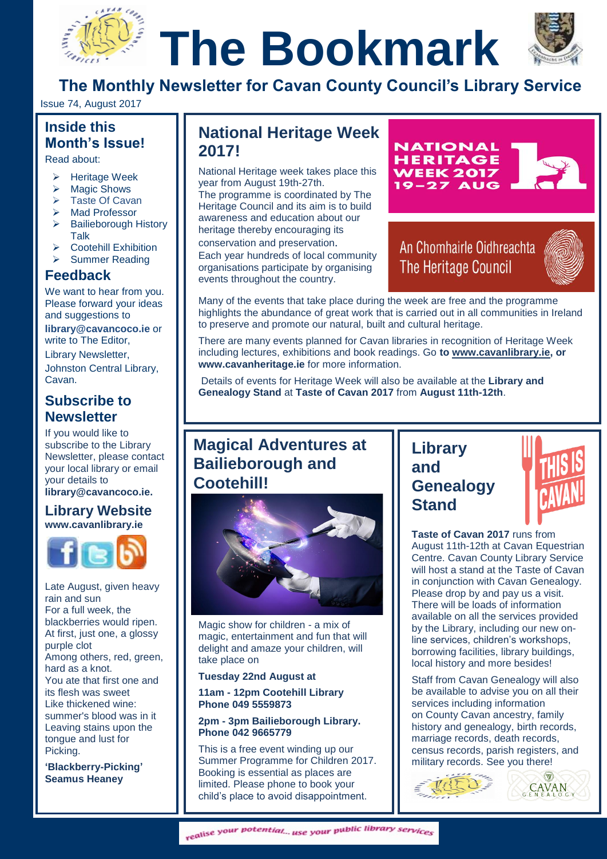# **The Bookmark**



**The Monthly Newsletter for Cavan County Council's Library Service**

Issue 74, August 2017

## **Inside this Month's Issue!**

Read about:

- Heritage Week
- $\triangleright$  Magic Shows
	- $\triangleright$  Taste Of Cavan
	- > Mad Professor
	- $\triangleright$  Bailieborough History Talk
	- Cootehill Exhibition
	- > Summer Reading

### **Feedback**

We want to hear from you. Please forward your ideas and suggestions to

**[library@cavancoco.ie](mailto:info@cavanlibrary.ie?subject=Newsletter%20ideas%20&%20Feedback)** or write to The Editor,

Library Newsletter, Johnston Central Library, Cavan.

#### **Subscribe to Newsletter**

If you would like to subscribe to the Library Newsletter, please contact your local library or email your details to **[library@cavancoco.ie.](mailto:library@cavancoco.ie)**

**Library Website [www.cavanlibrary.ie](http://www.cavanlibrary.ie/)**



Late August, given heavy rain and sun For a full week, the blackberries would ripen. At first, just one, a glossy purple clot Among others, red, green, hard as a knot. You ate that first one and its flesh was sweet Like thickened wine: summer's blood was in it Leaving stains upon the tongue and lust for Picking.

**'Blackberry-Picking' Seamus Heaney**

# **National Heritage Week 2017!**

National Heritage week takes place this year from August 19th-27th. The programme is coordinated by The

Heritage Council and its aim is to build awareness and education about our heritage thereby encouraging its

conservation and preservation. Each year hundreds of local community organisations participate by organising events throughout the country.



An Chomhairle Oidhreachta **The Heritage Council** 



Many of the events that take place during the week are free and the programme highlights the abundance of great work that is carried out in all communities in Ireland to preserve and promote our natural, built and cultural heritage.

There are many events planned for Cavan libraries in recognition of Heritage Week including lectures, exhibitions and book readings. Go **to [www.cavanlibrary.ie,](http://www.cavanlibrary.ie/) or www.cavanheritage.ie** for more information.

Details of events for Heritage Week will also be available at the **Library and Genealogy Stand** at **Taste of Cavan 2017** from **August 11th-12th**.

# **Magical Adventures at Bailieborough and Cootehill!**



Magic show for children - a mix of magic, entertainment and fun that will delight and amaze your children, will take place on

#### **Tuesday 22nd August at**

**11am - 12pm Cootehill Library Phone 049 5559873**

#### **2pm - 3pm Bailieborough Library. Phone 042 9665779**

This is a free event winding up our Summer Programme for Children 2017. Booking is essential as places are limited. Please phone to book your child's place to avoid disappointment.

# **Library and Genealogy Stand**



**Taste of Cavan 2017** runs from August 11th-12th at Cavan Equestrian Centre. Cavan County Library Service will host a stand at the Taste of Cavan in conjunction with Cavan Genealogy. Please drop by and pay us a visit. There will be loads of information available on all the services provided by the Library, including our new online services, children's workshops, borrowing facilities, library buildings, local history and more besides!

Staff from Cavan Genealogy will also be available to advise you on all their services including information on County Cavan ancestry, family history and genealogy, birth records, marriage records, death records, census records, parish registers, and military records. See you there!